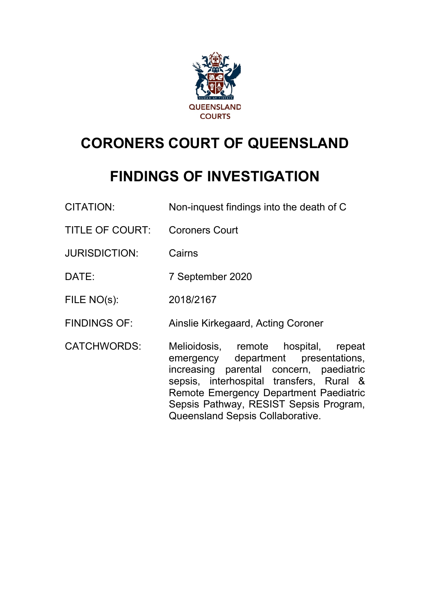

# **CORONERS COURT OF QUEENSLAND**

# **FINDINGS OF INVESTIGATION**

| <b>CITATION:</b>       | Non-inquest findings into the death of C                                                                                                                                                                                                                                                   |
|------------------------|--------------------------------------------------------------------------------------------------------------------------------------------------------------------------------------------------------------------------------------------------------------------------------------------|
| <b>TITLE OF COURT:</b> | <b>Coroners Court</b>                                                                                                                                                                                                                                                                      |
| <b>JURISDICTION:</b>   | Cairns                                                                                                                                                                                                                                                                                     |
| DATE:                  | 7 September 2020                                                                                                                                                                                                                                                                           |
| FILE NO(s):            | 2018/2167                                                                                                                                                                                                                                                                                  |
| <b>FINDINGS OF:</b>    | Ainslie Kirkegaard, Acting Coroner                                                                                                                                                                                                                                                         |
| <b>CATCHWORDS:</b>     | Melioidosis, remote hospital, repeat<br>emergency department presentations,<br>increasing parental concern, paediatric<br>sepsis, interhospital transfers, Rural &<br>Remote Emergency Department Paediatric<br>Sepsis Pathway, RESIST Sepsis Program,<br>Queensland Sepsis Collaborative. |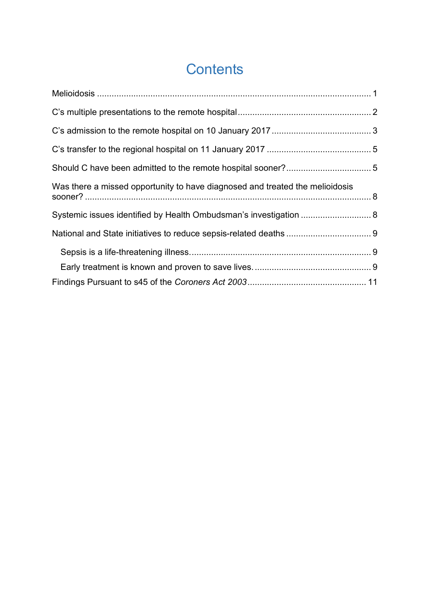# **Contents**

| Was there a missed opportunity to have diagnosed and treated the melioidosis |  |  |
|------------------------------------------------------------------------------|--|--|
| Systemic issues identified by Health Ombudsman's investigation  8            |  |  |
|                                                                              |  |  |
|                                                                              |  |  |
|                                                                              |  |  |
|                                                                              |  |  |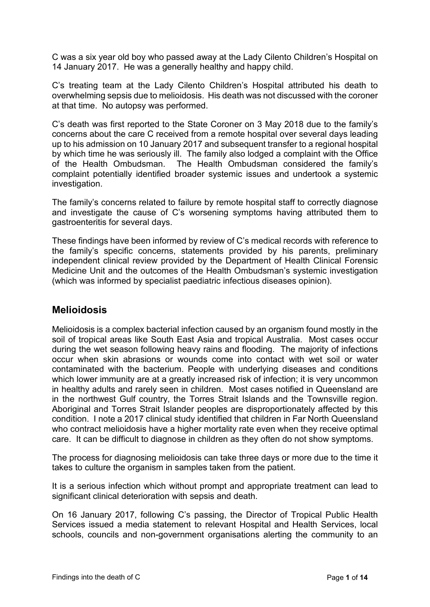C was a six year old boy who passed away at the Lady Cilento Children's Hospital on 14 January 2017. He was a generally healthy and happy child.

C's treating team at the Lady Cilento Children's Hospital attributed his death to overwhelming sepsis due to melioidosis. His death was not discussed with the coroner at that time. No autopsy was performed.

C's death was first reported to the State Coroner on 3 May 2018 due to the family's concerns about the care C received from a remote hospital over several days leading up to his admission on 10 January 2017 and subsequent transfer to a regional hospital by which time he was seriously ill. The family also lodged a complaint with the Office of the Health Ombudsman. The Health Ombudsman considered the family's complaint potentially identified broader systemic issues and undertook a systemic investigation.

The family's concerns related to failure by remote hospital staff to correctly diagnose and investigate the cause of C's worsening symptoms having attributed them to gastroenteritis for several days.

These findings have been informed by review of C's medical records with reference to the family's specific concerns, statements provided by his parents, preliminary independent clinical review provided by the Department of Health Clinical Forensic Medicine Unit and the outcomes of the Health Ombudsman's systemic investigation (which was informed by specialist paediatric infectious diseases opinion).

# <span id="page-2-0"></span>**Melioidosis**

Melioidosis is a complex bacterial infection caused by an organism found mostly in the soil of tropical areas like South East Asia and tropical Australia. Most cases occur during the wet season following heavy rains and flooding. The majority of infections occur when skin abrasions or wounds come into contact with wet soil or water contaminated with the bacterium. People with underlying diseases and conditions which lower immunity are at a greatly increased risk of infection; it is very uncommon in healthy adults and rarely seen in children. Most cases notified in Queensland are in the northwest Gulf country, the Torres Strait Islands and the Townsville region. Aboriginal and Torres Strait Islander peoples are disproportionately affected by this condition. I note a 2017 clinical study identified that children in Far North Queensland who contract melioidosis have a higher mortality rate even when they receive optimal care. It can be difficult to diagnose in children as they often do not show symptoms.

The process for diagnosing melioidosis can take three days or more due to the time it takes to culture the organism in samples taken from the patient.

It is a serious infection which without prompt and appropriate treatment can lead to significant clinical deterioration with sepsis and death.

On 16 January 2017, following C's passing, the Director of Tropical Public Health Services issued a media statement to relevant Hospital and Health Services, local schools, councils and non-government organisations alerting the community to an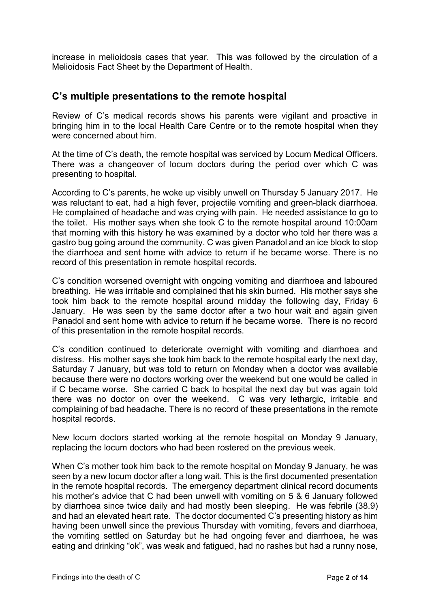increase in melioidosis cases that year. This was followed by the circulation of a Melioidosis Fact Sheet by the Department of Health.

#### <span id="page-3-0"></span>**C's multiple presentations to the remote hospital**

Review of C's medical records shows his parents were vigilant and proactive in bringing him in to the local Health Care Centre or to the remote hospital when they were concerned about him.

At the time of C's death, the remote hospital was serviced by Locum Medical Officers. There was a changeover of locum doctors during the period over which C was presenting to hospital.

According to C's parents, he woke up visibly unwell on Thursday 5 January 2017. He was reluctant to eat, had a high fever, projectile vomiting and green-black diarrhoea. He complained of headache and was crying with pain. He needed assistance to go to the toilet. His mother says when she took C to the remote hospital around 10:00am that morning with this history he was examined by a doctor who told her there was a gastro bug going around the community. C was given Panadol and an ice block to stop the diarrhoea and sent home with advice to return if he became worse. There is no record of this presentation in remote hospital records.

C's condition worsened overnight with ongoing vomiting and diarrhoea and laboured breathing. He was irritable and complained that his skin burned. His mother says she took him back to the remote hospital around midday the following day, Friday 6 January. He was seen by the same doctor after a two hour wait and again given Panadol and sent home with advice to return if he became worse. There is no record of this presentation in the remote hospital records.

C's condition continued to deteriorate overnight with vomiting and diarrhoea and distress. His mother says she took him back to the remote hospital early the next day, Saturday 7 January, but was told to return on Monday when a doctor was available because there were no doctors working over the weekend but one would be called in if C became worse. She carried C back to hospital the next day but was again told there was no doctor on over the weekend. C was very lethargic, irritable and complaining of bad headache. There is no record of these presentations in the remote hospital records.

New locum doctors started working at the remote hospital on Monday 9 January, replacing the locum doctors who had been rostered on the previous week.

When C's mother took him back to the remote hospital on Monday 9 January, he was seen by a new locum doctor after a long wait. This is the first documented presentation in the remote hospital records. The emergency department clinical record documents his mother's advice that C had been unwell with vomiting on 5 & 6 January followed by diarrhoea since twice daily and had mostly been sleeping. He was febrile (38.9) and had an elevated heart rate. The doctor documented C's presenting history as him having been unwell since the previous Thursday with vomiting, fevers and diarrhoea, the vomiting settled on Saturday but he had ongoing fever and diarrhoea, he was eating and drinking "ok", was weak and fatigued, had no rashes but had a runny nose,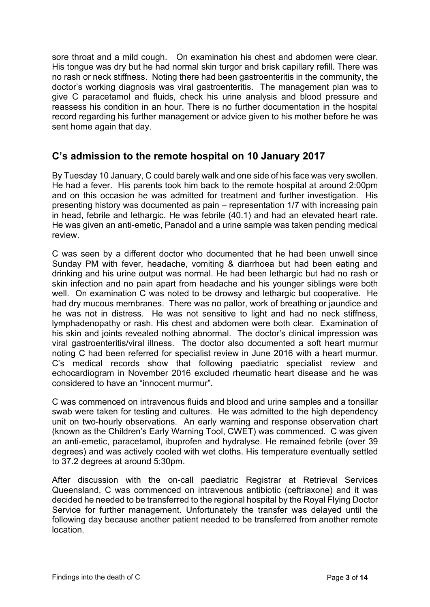sore throat and a mild cough. On examination his chest and abdomen were clear. His tongue was dry but he had normal skin turgor and brisk capillary refill. There was no rash or neck stiffness. Noting there had been gastroenteritis in the community, the doctor's working diagnosis was viral gastroenteritis. The management plan was to give C paracetamol and fluids, check his urine analysis and blood pressure and reassess his condition in an hour. There is no further documentation in the hospital record regarding his further management or advice given to his mother before he was sent home again that day.

# <span id="page-4-0"></span>**C's admission to the remote hospital on 10 January 2017**

By Tuesday 10 January, C could barely walk and one side of his face was very swollen. He had a fever. His parents took him back to the remote hospital at around 2:00pm and on this occasion he was admitted for treatment and further investigation. His presenting history was documented as pain – representation 1/7 with increasing pain in head, febrile and lethargic. He was febrile (40.1) and had an elevated heart rate. He was given an anti-emetic, Panadol and a urine sample was taken pending medical review.

C was seen by a different doctor who documented that he had been unwell since Sunday PM with fever, headache, vomiting & diarrhoea but had been eating and drinking and his urine output was normal. He had been lethargic but had no rash or skin infection and no pain apart from headache and his younger siblings were both well. On examination C was noted to be drowsy and lethargic but cooperative. He had dry mucous membranes. There was no pallor, work of breathing or jaundice and he was not in distress. He was not sensitive to light and had no neck stiffness, lymphadenopathy or rash. His chest and abdomen were both clear. Examination of his skin and joints revealed nothing abnormal. The doctor's clinical impression was viral gastroenteritis/viral illness. The doctor also documented a soft heart murmur noting C had been referred for specialist review in June 2016 with a heart murmur. C's medical records show that following paediatric specialist review and echocardiogram in November 2016 excluded rheumatic heart disease and he was considered to have an "innocent murmur".

C was commenced on intravenous fluids and blood and urine samples and a tonsillar swab were taken for testing and cultures. He was admitted to the high dependency unit on two-hourly observations. An early warning and response observation chart (known as the Children's Early Warning Tool, CWET) was commenced. C was given an anti-emetic, paracetamol, ibuprofen and hydralyse. He remained febrile (over 39 degrees) and was actively cooled with wet cloths. His temperature eventually settled to 37.2 degrees at around 5:30pm.

After discussion with the on-call paediatric Registrar at Retrieval Services Queensland, C was commenced on intravenous antibiotic (ceftriaxone) and it was decided he needed to be transferred to the regional hospital by the Royal Flying Doctor Service for further management. Unfortunately the transfer was delayed until the following day because another patient needed to be transferred from another remote location.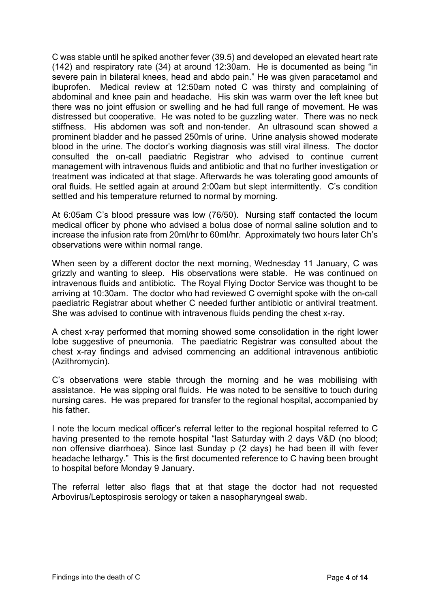C was stable until he spiked another fever (39.5) and developed an elevated heart rate (142) and respiratory rate (34) at around 12:30am. He is documented as being "in severe pain in bilateral knees, head and abdo pain." He was given paracetamol and ibuprofen. Medical review at 12:50am noted C was thirsty and complaining of abdominal and knee pain and headache. His skin was warm over the left knee but there was no joint effusion or swelling and he had full range of movement. He was distressed but cooperative. He was noted to be guzzling water. There was no neck stiffness. His abdomen was soft and non-tender. An ultrasound scan showed a prominent bladder and he passed 250mls of urine. Urine analysis showed moderate blood in the urine. The doctor's working diagnosis was still viral illness. The doctor consulted the on-call paediatric Registrar who advised to continue current management with intravenous fluids and antibiotic and that no further investigation or treatment was indicated at that stage. Afterwards he was tolerating good amounts of oral fluids. He settled again at around 2:00am but slept intermittently. C's condition settled and his temperature returned to normal by morning.

At 6:05am C's blood pressure was low (76/50). Nursing staff contacted the locum medical officer by phone who advised a bolus dose of normal saline solution and to increase the infusion rate from 20ml/hr to 60ml/hr. Approximately two hours later Ch's observations were within normal range.

When seen by a different doctor the next morning, Wednesday 11 January, C was grizzly and wanting to sleep. His observations were stable. He was continued on intravenous fluids and antibiotic. The Royal Flying Doctor Service was thought to be arriving at 10:30am. The doctor who had reviewed C overnight spoke with the on-call paediatric Registrar about whether C needed further antibiotic or antiviral treatment. She was advised to continue with intravenous fluids pending the chest x-ray.

A chest x-ray performed that morning showed some consolidation in the right lower lobe suggestive of pneumonia. The paediatric Registrar was consulted about the chest x-ray findings and advised commencing an additional intravenous antibiotic (Azithromycin).

C's observations were stable through the morning and he was mobilising with assistance. He was sipping oral fluids. He was noted to be sensitive to touch during nursing cares. He was prepared for transfer to the regional hospital, accompanied by his father.

I note the locum medical officer's referral letter to the regional hospital referred to C having presented to the remote hospital "last Saturday with 2 days V&D (no blood; non offensive diarrhoea). Since last Sunday p (2 days) he had been ill with fever headache lethargy." This is the first documented reference to C having been brought to hospital before Monday 9 January.

The referral letter also flags that at that stage the doctor had not requested Arbovirus/Leptospirosis serology or taken a nasopharyngeal swab.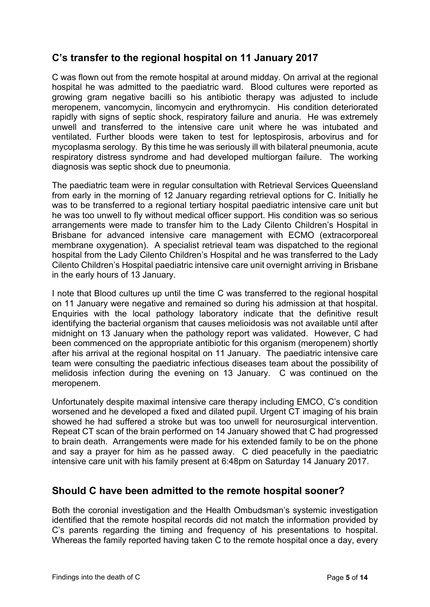# <span id="page-6-0"></span>**C's transfer to the regional hospital on 11 January 2017**

C was flown out from the remote hospital at around midday. On arrival at the regional hospital he was admitted to the paediatric ward. Blood cultures were reported as growing gram negative bacilli so his antibiotic therapy was adjusted to include meropenem, vancomycin, lincomycin and erythromycin. His condition deteriorated rapidly with signs of septic shock, respiratory failure and anuria. He was extremely unwell and transferred to the intensive care unit where he was intubated and ventilated. Further bloods were taken to test for leptospirosis, arbovirus and for mycoplasma serology. By this time he was seriously ill with bilateral pneumonia, acute respiratory distress syndrome and had developed multiorgan failure. The working diagnosis was septic shock due to pneumonia.

The paediatric team were in regular consultation with Retrieval Services Queensland from early in the morning of 12 January regarding retrieval options for C. Initially he was to be transferred to a regional tertiary hospital paediatric intensive care unit but he was too unwell to fly without medical officer support. His condition was so serious arrangements were made to transfer him to the Lady Cilento Children's Hospital in Brisbane for advanced intensive care management with ECMO (extracorporeal membrane oxygenation). A specialist retrieval team was dispatched to the regional hospital from the Lady Cilento Children's Hospital and he was transferred to the Lady Cilento Children's Hospital paediatric intensive care unit overnight arriving in Brisbane in the early hours of 13 January.

I note that Blood cultures up until the time C was transferred to the regional hospital on 11 January were negative and remained so during his admission at that hospital. Enquiries with the local pathology laboratory indicate that the definitive result identifying the bacterial organism that causes melioidosis was not available until after midnight on 13 January when the pathology report was validated. However, C had been commenced on the appropriate antibiotic for this organism (meropenem) shortly after his arrival at the regional hospital on 11 January. The paediatric intensive care team were consulting the paediatric infectious diseases team about the possibility of melidosis infection during the evening on 13 January. C was continued on the meropenem.

Unfortunately despite maximal intensive care therapy including EMCO, C's condition worsened and he developed a fixed and dilated pupil. Urgent CT imaging of his brain showed he had suffered a stroke but was too unwell for neurosurgical intervention. Repeat CT scan of the brain performed on 14 January showed that C had progressed to brain death. Arrangements were made for his extended family to be on the phone and say a prayer for him as he passed away. C died peacefully in the paediatric intensive care unit with his family present at 6:48pm on Saturday 14 January 2017.

### <span id="page-6-1"></span>**Should C have been admitted to the remote hospital sooner?**

Both the coronial investigation and the Health Ombudsman's systemic investigation identified that the remote hospital records did not match the information provided by C's parents regarding the timing and frequency of his presentations to hospital. Whereas the family reported having taken C to the remote hospital once a day, every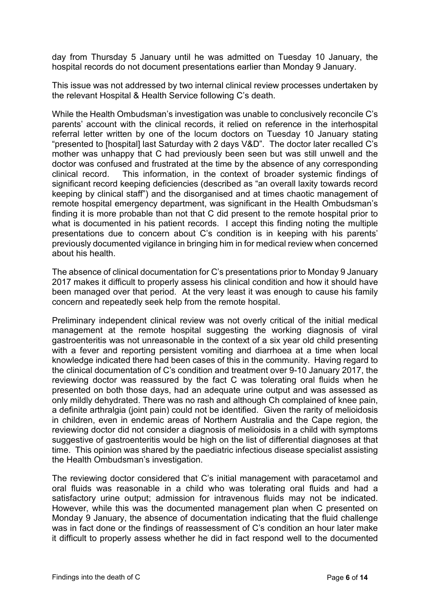day from Thursday 5 January until he was admitted on Tuesday 10 January, the hospital records do not document presentations earlier than Monday 9 January.

This issue was not addressed by two internal clinical review processes undertaken by the relevant Hospital & Health Service following C's death.

While the Health Ombudsman's investigation was unable to conclusively reconcile C's parents' account with the clinical records, it relied on reference in the interhospital referral letter written by one of the locum doctors on Tuesday 10 January stating "presented to [hospital] last Saturday with 2 days V&D". The doctor later recalled C's mother was unhappy that C had previously been seen but was still unwell and the doctor was confused and frustrated at the time by the absence of any corresponding clinical record. This information, in the context of broader systemic findings of significant record keeping deficiencies (described as "an overall laxity towards record keeping by clinical staff") and the disorganised and at times chaotic management of remote hospital emergency department, was significant in the Health Ombudsman's finding it is more probable than not that C did present to the remote hospital prior to what is documented in his patient records. I accept this finding noting the multiple presentations due to concern about C's condition is in keeping with his parents' previously documented vigilance in bringing him in for medical review when concerned about his health.

The absence of clinical documentation for C's presentations prior to Monday 9 January 2017 makes it difficult to properly assess his clinical condition and how it should have been managed over that period. At the very least it was enough to cause his family concern and repeatedly seek help from the remote hospital.

Preliminary independent clinical review was not overly critical of the initial medical management at the remote hospital suggesting the working diagnosis of viral gastroenteritis was not unreasonable in the context of a six year old child presenting with a fever and reporting persistent vomiting and diarrhoea at a time when local knowledge indicated there had been cases of this in the community. Having regard to the clinical documentation of C's condition and treatment over 9-10 January 2017, the reviewing doctor was reassured by the fact C was tolerating oral fluids when he presented on both those days, had an adequate urine output and was assessed as only mildly dehydrated. There was no rash and although Ch complained of knee pain, a definite arthralgia (joint pain) could not be identified. Given the rarity of melioidosis in children, even in endemic areas of Northern Australia and the Cape region, the reviewing doctor did not consider a diagnosis of melioidosis in a child with symptoms suggestive of gastroenteritis would be high on the list of differential diagnoses at that time. This opinion was shared by the paediatric infectious disease specialist assisting the Health Ombudsman's investigation.

The reviewing doctor considered that C's initial management with paracetamol and oral fluids was reasonable in a child who was tolerating oral fluids and had a satisfactory urine output; admission for intravenous fluids may not be indicated. However, while this was the documented management plan when C presented on Monday 9 January, the absence of documentation indicating that the fluid challenge was in fact done or the findings of reassessment of C's condition an hour later make it difficult to properly assess whether he did in fact respond well to the documented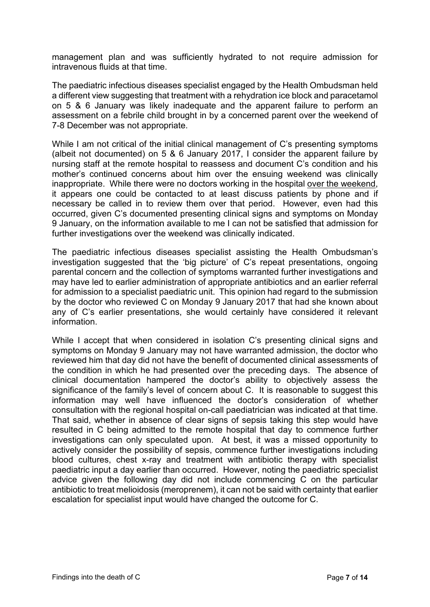management plan and was sufficiently hydrated to not require admission for intravenous fluids at that time.

The paediatric infectious diseases specialist engaged by the Health Ombudsman held a different view suggesting that treatment with a rehydration ice block and paracetamol on 5 & 6 January was likely inadequate and the apparent failure to perform an assessment on a febrile child brought in by a concerned parent over the weekend of 7-8 December was not appropriate.

While I am not critical of the initial clinical management of C's presenting symptoms (albeit not documented) on 5 & 6 January 2017, I consider the apparent failure by nursing staff at the remote hospital to reassess and document C's condition and his mother's continued concerns about him over the ensuing weekend was clinically inappropriate. While there were no doctors working in the hospital over the weekend, it appears one could be contacted to at least discuss patients by phone and if necessary be called in to review them over that period. However, even had this occurred, given C's documented presenting clinical signs and symptoms on Monday 9 January, on the information available to me I can not be satisfied that admission for further investigations over the weekend was clinically indicated.

The paediatric infectious diseases specialist assisting the Health Ombudsman's investigation suggested that the 'big picture' of C's repeat presentations, ongoing parental concern and the collection of symptoms warranted further investigations and may have led to earlier administration of appropriate antibiotics and an earlier referral for admission to a specialist paediatric unit. This opinion had regard to the submission by the doctor who reviewed C on Monday 9 January 2017 that had she known about any of C's earlier presentations, she would certainly have considered it relevant information.

While I accept that when considered in isolation C's presenting clinical signs and symptoms on Monday 9 January may not have warranted admission, the doctor who reviewed him that day did not have the benefit of documented clinical assessments of the condition in which he had presented over the preceding days. The absence of clinical documentation hampered the doctor's ability to objectively assess the significance of the family's level of concern about C. It is reasonable to suggest this information may well have influenced the doctor's consideration of whether consultation with the regional hospital on-call paediatrician was indicated at that time. That said, whether in absence of clear signs of sepsis taking this step would have resulted in C being admitted to the remote hospital that day to commence further investigations can only speculated upon. At best, it was a missed opportunity to actively consider the possibility of sepsis, commence further investigations including blood cultures, chest x-ray and treatment with antibiotic therapy with specialist paediatric input a day earlier than occurred. However, noting the paediatric specialist advice given the following day did not include commencing C on the particular antibiotic to treat melioidosis (meroprenem), it can not be said with certainty that earlier escalation for specialist input would have changed the outcome for C.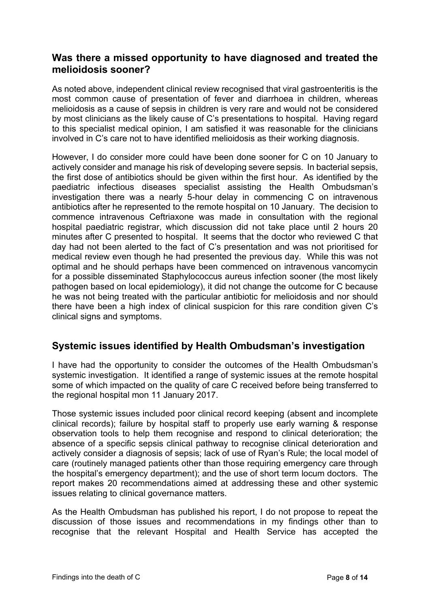### <span id="page-9-0"></span>**Was there a missed opportunity to have diagnosed and treated the melioidosis sooner?**

As noted above, independent clinical review recognised that viral gastroenteritis is the most common cause of presentation of fever and diarrhoea in children, whereas melioidosis as a cause of sepsis in children is very rare and would not be considered by most clinicians as the likely cause of C's presentations to hospital. Having regard to this specialist medical opinion, I am satisfied it was reasonable for the clinicians involved in C's care not to have identified melioidosis as their working diagnosis.

However, I do consider more could have been done sooner for C on 10 January to actively consider and manage his risk of developing severe sepsis. In bacterial sepsis, the first dose of antibiotics should be given within the first hour. As identified by the paediatric infectious diseases specialist assisting the Health Ombudsman's investigation there was a nearly 5-hour delay in commencing C on intravenous antibiotics after he represented to the remote hospital on 10 January. The decision to commence intravenous Ceftriaxone was made in consultation with the regional hospital paediatric registrar, which discussion did not take place until 2 hours 20 minutes after C presented to hospital. It seems that the doctor who reviewed C that day had not been alerted to the fact of C's presentation and was not prioritised for medical review even though he had presented the previous day. While this was not optimal and he should perhaps have been commenced on intravenous vancomycin for a possible disseminated Staphylococcus aureus infection sooner (the most likely pathogen based on local epidemiology), it did not change the outcome for C because he was not being treated with the particular antibiotic for melioidosis and nor should there have been a high index of clinical suspicion for this rare condition given C's clinical signs and symptoms.

# <span id="page-9-1"></span>**Systemic issues identified by Health Ombudsman's investigation**

I have had the opportunity to consider the outcomes of the Health Ombudsman's systemic investigation. It identified a range of systemic issues at the remote hospital some of which impacted on the quality of care C received before being transferred to the regional hospital mon 11 January 2017.

Those systemic issues included poor clinical record keeping (absent and incomplete clinical records); failure by hospital staff to properly use early warning & response observation tools to help them recognise and respond to clinical deterioration; the absence of a specific sepsis clinical pathway to recognise clinical deterioration and actively consider a diagnosis of sepsis; lack of use of Ryan's Rule; the local model of care (routinely managed patients other than those requiring emergency care through the hospital's emergency department); and the use of short term locum doctors. The report makes 20 recommendations aimed at addressing these and other systemic issues relating to clinical governance matters.

As the Health Ombudsman has published his report, I do not propose to repeat the discussion of those issues and recommendations in my findings other than to recognise that the relevant Hospital and Health Service has accepted the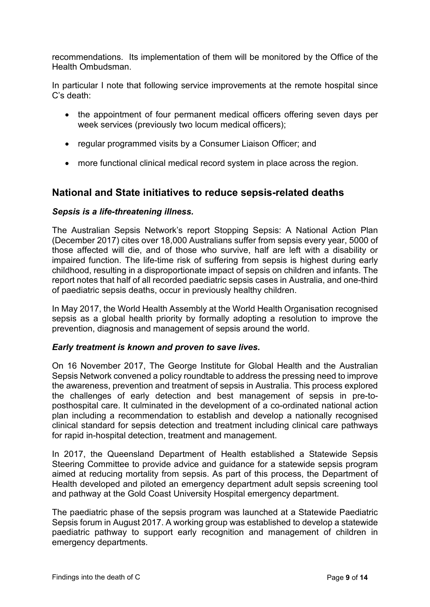recommendations. Its implementation of them will be monitored by the Office of the Health Ombudsman.

In particular I note that following service improvements at the remote hospital since C's death:

- the appointment of four permanent medical officers offering seven days per week services (previously two locum medical officers);
- regular programmed visits by a Consumer Liaison Officer; and
- more functional clinical medical record system in place across the region.

### <span id="page-10-0"></span>**National and State initiatives to reduce sepsis-related deaths**

#### <span id="page-10-1"></span>*Sepsis is a life-threatening illness.*

The Australian Sepsis Network's report Stopping Sepsis: A National Action Plan (December 2017) cites over 18,000 Australians suffer from sepsis every year, 5000 of those affected will die, and of those who survive, half are left with a disability or impaired function. The life-time risk of suffering from sepsis is highest during early childhood, resulting in a disproportionate impact of sepsis on children and infants. The report notes that half of all recorded paediatric sepsis cases in Australia, and one-third of paediatric sepsis deaths, occur in previously healthy children.

In May 2017, the World Health Assembly at the World Health Organisation recognised sepsis as a global health priority by formally adopting a resolution to improve the prevention, diagnosis and management of sepsis around the world.

#### <span id="page-10-2"></span>*Early treatment is known and proven to save lives.*

On 16 November 2017, The George Institute for Global Health and the Australian Sepsis Network convened a policy roundtable to address the pressing need to improve the awareness, prevention and treatment of sepsis in Australia. This process explored the challenges of early detection and best management of sepsis in pre-toposthospital care. It culminated in the development of a co-ordinated national action plan including a recommendation to establish and develop a nationally recognised clinical standard for sepsis detection and treatment including clinical care pathways for rapid in-hospital detection, treatment and management.

In 2017, the Queensland Department of Health established a Statewide Sepsis Steering Committee to provide advice and guidance for a statewide sepsis program aimed at reducing mortality from sepsis. As part of this process, the Department of Health developed and piloted an emergency department adult sepsis screening tool and pathway at the Gold Coast University Hospital emergency department.

The paediatric phase of the sepsis program was launched at a Statewide Paediatric Sepsis forum in August 2017. A working group was established to develop a statewide paediatric pathway to support early recognition and management of children in emergency departments.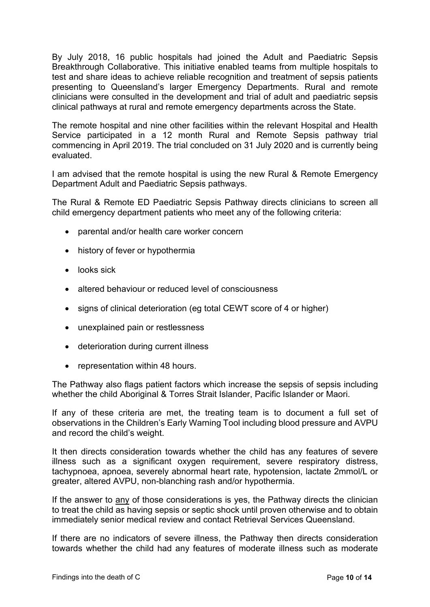By July 2018, 16 public hospitals had joined the Adult and Paediatric Sepsis Breakthrough Collaborative. This initiative enabled teams from multiple hospitals to test and share ideas to achieve reliable recognition and treatment of sepsis patients presenting to Queensland's larger Emergency Departments. Rural and remote clinicians were consulted in the development and trial of adult and paediatric sepsis clinical pathways at rural and remote emergency departments across the State.

The remote hospital and nine other facilities within the relevant Hospital and Health Service participated in a 12 month Rural and Remote Sepsis pathway trial commencing in April 2019. The trial concluded on 31 July 2020 and is currently being evaluated.

I am advised that the remote hospital is using the new Rural & Remote Emergency Department Adult and Paediatric Sepsis pathways.

The Rural & Remote ED Paediatric Sepsis Pathway directs clinicians to screen all child emergency department patients who meet any of the following criteria:

- parental and/or health care worker concern
- history of fever or hypothermia
- looks sick
- altered behaviour or reduced level of consciousness
- signs of clinical deterioration (eg total CEWT score of 4 or higher)
- unexplained pain or restlessness
- deterioration during current illness
- representation within 48 hours.

The Pathway also flags patient factors which increase the sepsis of sepsis including whether the child Aboriginal & Torres Strait Islander, Pacific Islander or Maori.

If any of these criteria are met, the treating team is to document a full set of observations in the Children's Early Warning Tool including blood pressure and AVPU and record the child's weight.

It then directs consideration towards whether the child has any features of severe illness such as a significant oxygen requirement, severe respiratory distress, tachypnoea, apnoea, severely abnormal heart rate, hypotension, lactate 2mmol/L or greater, altered AVPU, non-blanching rash and/or hypothermia.

If the answer to any of those considerations is yes, the Pathway directs the clinician to treat the child as having sepsis or septic shock until proven otherwise and to obtain immediately senior medical review and contact Retrieval Services Queensland.

If there are no indicators of severe illness, the Pathway then directs consideration towards whether the child had any features of moderate illness such as moderate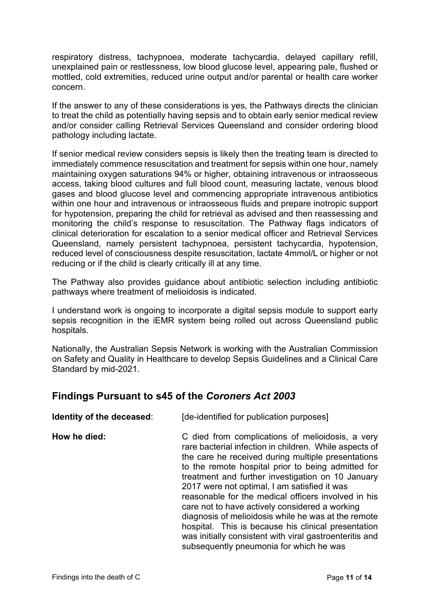respiratory distress, tachypnoea, moderate tachycardia, delayed capillary refill, unexplained pain or restlessness, low blood glucose level, appearing pale, flushed or mottled, cold extremities, reduced urine output and/or parental or health care worker concern.

If the answer to any of these considerations is yes, the Pathways directs the clinician to treat the child as potentially having sepsis and to obtain early senior medical review and/or consider calling Retrieval Services Queensland and consider ordering blood pathology including lactate.

If senior medical review considers sepsis is likely then the treating team is directed to immediately commence resuscitation and treatment for sepsis within one hour, namely maintaining oxygen saturations 94% or higher, obtaining intravenous or intraosseous access, taking blood cultures and full blood count, measuring lactate, venous blood gases and blood glucose level and commencing appropriate intravenous antibiotics within one hour and intravenous or intraosseous fluids and prepare inotropic support for hypotension, preparing the child for retrieval as advised and then reassessing and monitoring the child's response to resuscitation. The Pathway flags indicators of clinical deterioration for escalation to a senior medical officer and Retrieval Services Queensland, namely persistent tachypnoea, persistent tachycardia, hypotension, reduced level of consciousness despite resuscitation, lactate 4mmol/L or higher or not reducing or if the child is clearly critically ill at any time.

The Pathway also provides guidance about antibiotic selection including antibiotic pathways where treatment of melioidosis is indicated.

I understand work is ongoing to incorporate a digital sepsis module to support early sepsis recognition in the iEMR system being rolled out across Queensland public hospitals.

Nationally, the Australian Sepsis Network is working with the Australian Commission on Safety and Quality in Healthcare to develop Sepsis Guidelines and a Clinical Care Standard by mid-2021.

### <span id="page-12-0"></span>**Findings Pursuant to s45 of the** *Coroners Act 2003*

| Identity of the deceased: | [de-identified for publication purposes]                                                                                                                                                                                                                                                                                                                                                                                                                                                                                                                                                                                                                 |
|---------------------------|----------------------------------------------------------------------------------------------------------------------------------------------------------------------------------------------------------------------------------------------------------------------------------------------------------------------------------------------------------------------------------------------------------------------------------------------------------------------------------------------------------------------------------------------------------------------------------------------------------------------------------------------------------|
| How he died:              | C died from complications of melioidosis, a very<br>rare bacterial infection in children. While aspects of<br>the care he received during multiple presentations<br>to the remote hospital prior to being admitted for<br>treatment and further investigation on 10 January<br>2017 were not optimal, I am satisfied it was<br>reasonable for the medical officers involved in his<br>care not to have actively considered a working<br>diagnosis of melioidosis while he was at the remote<br>hospital. This is because his clinical presentation<br>was initially consistent with viral gastroenteritis and<br>subsequently pneumonia for which he was |